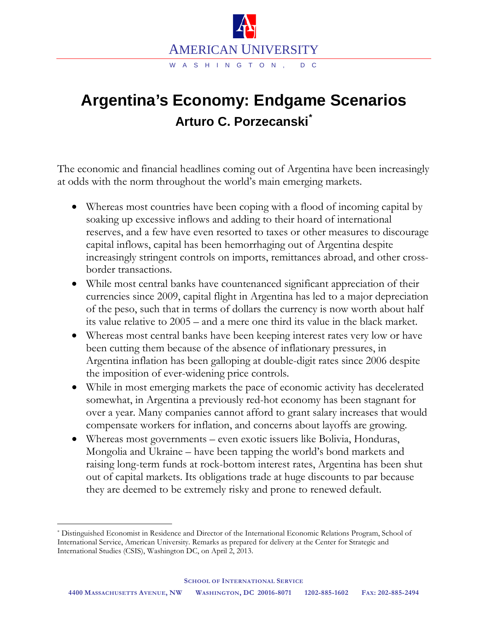

## **Argentina's Economy: Endgame Scenarios Arturo C. Porzecanski[\\*](#page-0-0)**

The economic and financial headlines coming out of Argentina have been increasingly at odds with the norm throughout the world's main emerging markets.

- Whereas most countries have been coping with a flood of incoming capital by soaking up excessive inflows and adding to their hoard of international reserves, and a few have even resorted to taxes or other measures to discourage capital inflows, capital has been hemorrhaging out of Argentina despite increasingly stringent controls on imports, remittances abroad, and other crossborder transactions.
- While most central banks have countenanced significant appreciation of their currencies since 2009, capital flight in Argentina has led to a major depreciation of the peso, such that in terms of dollars the currency is now worth about half its value relative to 2005 – and a mere one third its value in the black market.
- Whereas most central banks have been keeping interest rates very low or have been cutting them because of the absence of inflationary pressures, in Argentina inflation has been galloping at double-digit rates since 2006 despite the imposition of ever-widening price controls.
- While in most emerging markets the pace of economic activity has decelerated somewhat, in Argentina a previously red-hot economy has been stagnant for over a year. Many companies cannot afford to grant salary increases that would compensate workers for inflation, and concerns about layoffs are growing.
- Whereas most governments even exotic issuers like Bolivia, Honduras, Mongolia and Ukraine – have been tapping the world's bond markets and raising long-term funds at rock-bottom interest rates, Argentina has been shut out of capital markets. Its obligations trade at huge discounts to par because they are deemed to be extremely risky and prone to renewed default.

<span id="page-0-0"></span> <sup>\*</sup> Distinguished Economist in Residence and Director of the International Economic Relations Program, School of International Service, American University. Remarks as prepared for delivery at the Center for Strategic and International Studies (CSIS), Washington DC, on April 2, 2013.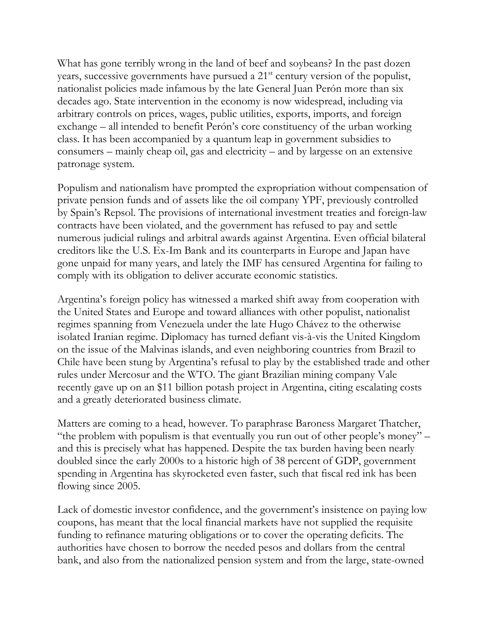What has gone terribly wrong in the land of beef and soybeans? In the past dozen years, successive governments have pursued a 21st century version of the populist, nationalist policies made infamous by the late General Juan Perón more than six decades ago. State intervention in the economy is now widespread, including via arbitrary controls on prices, wages, public utilities, exports, imports, and foreign exchange – all intended to benefit Perón's core constituency of the urban working class. It has been accompanied by a quantum leap in government subsidies to consumers – mainly cheap oil, gas and electricity – and by largesse on an extensive patronage system.

Populism and nationalism have prompted the expropriation without compensation of private pension funds and of assets like the oil company YPF, previously controlled by Spain's Repsol. The provisions of international investment treaties and foreign-law contracts have been violated, and the government has refused to pay and settle numerous judicial rulings and arbitral awards against Argentina. Even official bilateral creditors like the U.S. Ex-Im Bank and its counterparts in Europe and Japan have gone unpaid for many years, and lately the IMF has censured Argentina for failing to comply with its obligation to deliver accurate economic statistics.

Argentina's foreign policy has witnessed a marked shift away from cooperation with the United States and Europe and toward alliances with other populist, nationalist regimes spanning from Venezuela under the late Hugo Chávez to the otherwise isolated Iranian regime. Diplomacy has turned defiant vis-à-vis the United Kingdom on the issue of the Malvinas islands, and even neighboring countries from Brazil to Chile have been stung by Argentina's refusal to play by the established trade and other rules under Mercosur and the WTO. The giant Brazilian mining company Vale recently gave up on an \$11 billion potash project in Argentina, citing escalating costs and a greatly deteriorated business climate.

Matters are coming to a head, however. To paraphrase Baroness Margaret Thatcher, "the problem with populism is that eventually you run out of other people's money" – and this is precisely what has happened. Despite the tax burden having been nearly doubled since the early 2000s to a historic high of 38 percent of GDP, government spending in Argentina has skyrocketed even faster, such that fiscal red ink has been flowing since 2005.

Lack of domestic investor confidence, and the government's insistence on paying low coupons, has meant that the local financial markets have not supplied the requisite funding to refinance maturing obligations or to cover the operating deficits. The authorities have chosen to borrow the needed pesos and dollars from the central bank, and also from the nationalized pension system and from the large, state-owned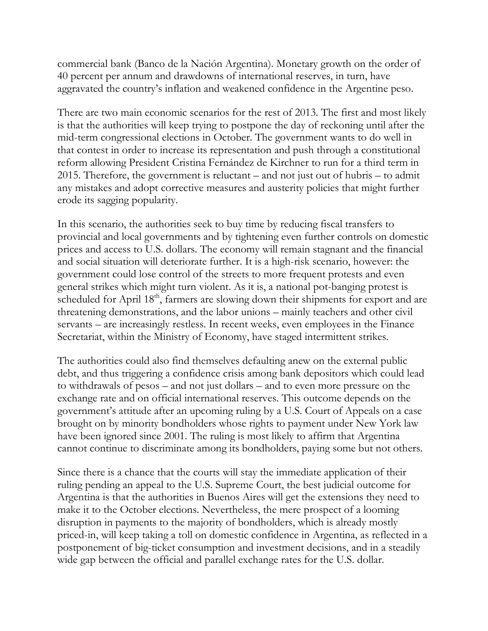commercial bank (Banco de la Nación Argentina). Monetary growth on the order of 40 percent per annum and drawdowns of international reserves, in turn, have aggravated the country's inflation and weakened confidence in the Argentine peso.

There are two main economic scenarios for the rest of 2013. The first and most likely is that the authorities will keep trying to postpone the day of reckoning until after the mid-term congressional elections in October. The government wants to do well in that contest in order to increase its representation and push through a constitutional reform allowing President Cristina Fernández de Kirchner to run for a third term in 2015. Therefore, the government is reluctant – and not just out of hubris – to admit any mistakes and adopt corrective measures and austerity policies that might further erode its sagging popularity.

In this scenario, the authorities seek to buy time by reducing fiscal transfers to provincial and local governments and by tightening even further controls on domestic prices and access to U.S. dollars. The economy will remain stagnant and the financial and social situation will deteriorate further. It is a high-risk scenario, however: the government could lose control of the streets to more frequent protests and even general strikes which might turn violent. As it is, a national pot-banging protest is scheduled for April 18<sup>th</sup>, farmers are slowing down their shipments for export and are threatening demonstrations, and the labor unions – mainly teachers and other civil servants – are increasingly restless. In recent weeks, even employees in the Finance Secretariat, within the Ministry of Economy, have staged intermittent strikes.

The authorities could also find themselves defaulting anew on the external public debt, and thus triggering a confidence crisis among bank depositors which could lead to withdrawals of pesos – and not just dollars – and to even more pressure on the exchange rate and on official international reserves. This outcome depends on the government's attitude after an upcoming ruling by a U.S. Court of Appeals on a case brought on by minority bondholders whose rights to payment under New York law have been ignored since 2001. The ruling is most likely to affirm that Argentina cannot continue to discriminate among its bondholders, paying some but not others.

Since there is a chance that the courts will stay the immediate application of their ruling pending an appeal to the U.S. Supreme Court, the best judicial outcome for Argentina is that the authorities in Buenos Aires will get the extensions they need to make it to the October elections. Nevertheless, the mere prospect of a looming disruption in payments to the majority of bondholders, which is already mostly priced-in, will keep taking a toll on domestic confidence in Argentina, as reflected in a postponement of big-ticket consumption and investment decisions, and in a steadily wide gap between the official and parallel exchange rates for the U.S. dollar.